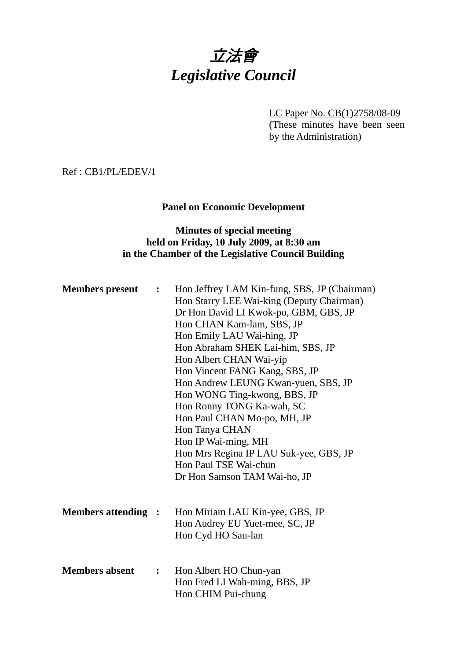

LC Paper No. CB(1)2758/08-09

(These minutes have been seen by the Administration)

Ref : CB1/PL/EDEV/1

**Panel on Economic Development** 

## **Minutes of special meeting held on Friday, 10 July 2009, at 8:30 am in the Chamber of the Legislative Council Building**

| <b>Members present</b>     | $\ddot{\cdot}$ | Hon Jeffrey LAM Kin-fung, SBS, JP (Chairman)<br>Hon Starry LEE Wai-king (Deputy Chairman)<br>Dr Hon David LI Kwok-po, GBM, GBS, JP<br>Hon CHAN Kam-lam, SBS, JP<br>Hon Emily LAU Wai-hing, JP<br>Hon Abraham SHEK Lai-him, SBS, JP<br>Hon Albert CHAN Wai-yip<br>Hon Vincent FANG Kang, SBS, JP<br>Hon Andrew LEUNG Kwan-yuen, SBS, JP<br>Hon WONG Ting-kwong, BBS, JP<br>Hon Ronny TONG Ka-wah, SC<br>Hon Paul CHAN Mo-po, MH, JP<br>Hon Tanya CHAN<br>Hon IP Wai-ming, MH<br>Hon Mrs Regina IP LAU Suk-yee, GBS, JP<br>Hon Paul TSE Wai-chun<br>Dr Hon Samson TAM Wai-ho, JP |
|----------------------------|----------------|--------------------------------------------------------------------------------------------------------------------------------------------------------------------------------------------------------------------------------------------------------------------------------------------------------------------------------------------------------------------------------------------------------------------------------------------------------------------------------------------------------------------------------------------------------------------------------|
| <b>Members attending :</b> |                | Hon Miriam LAU Kin-yee, GBS, JP<br>Hon Audrey EU Yuet-mee, SC, JP<br>Hon Cyd HO Sau-lan                                                                                                                                                                                                                                                                                                                                                                                                                                                                                        |
| <b>Members absent</b>      | $\ddot{\cdot}$ | Hon Albert HO Chun-yan<br>Hon Fred LI Wah-ming, BBS, JP<br>Hon CHIM Pui-chung                                                                                                                                                                                                                                                                                                                                                                                                                                                                                                  |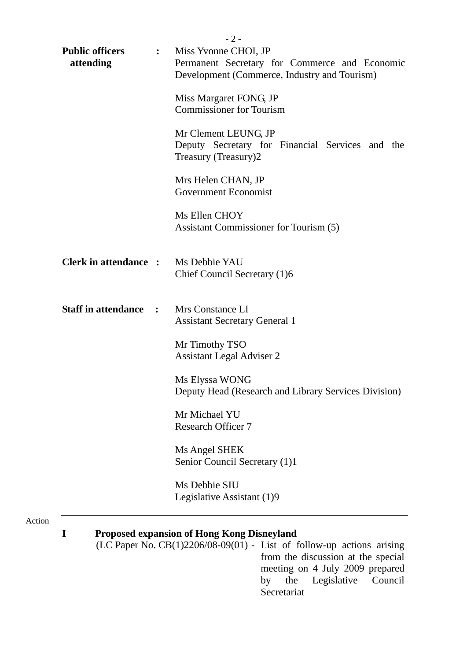|                                                     | $-2-$                                                                                                                                                                                               |
|-----------------------------------------------------|-----------------------------------------------------------------------------------------------------------------------------------------------------------------------------------------------------|
| <b>Public officers</b><br>$\mathbf{L}$<br>attending | Miss Yvonne CHOI, JP<br>Permanent Secretary for Commerce and Economic<br>Development (Commerce, Industry and Tourism)                                                                               |
|                                                     | Miss Margaret FONG, JP<br><b>Commissioner for Tourism</b>                                                                                                                                           |
|                                                     | Mr Clement LEUNG, JP<br>Deputy Secretary for Financial Services and the<br>Treasury (Treasury)2                                                                                                     |
|                                                     | Mrs Helen CHAN, JP<br>Government Economist                                                                                                                                                          |
|                                                     | Ms Ellen CHOY<br>Assistant Commissioner for Tourism (5)                                                                                                                                             |
| <b>Clerk in attendance :</b>                        | Ms Debbie YAU<br>Chief Council Secretary (1)6                                                                                                                                                       |
| <b>Staff in attendance :</b>                        | Mrs Constance LI<br><b>Assistant Secretary General 1</b>                                                                                                                                            |
|                                                     | Mr Timothy TSO<br><b>Assistant Legal Adviser 2</b>                                                                                                                                                  |
|                                                     | Ms Elyssa WONG<br>Deputy Head (Research and Library Services Division)                                                                                                                              |
|                                                     | Mr Michael YU<br><b>Research Officer 7</b>                                                                                                                                                          |
|                                                     | Ms Angel SHEK<br>Senior Council Secretary (1)1                                                                                                                                                      |
|                                                     | Ms Debbie SIU<br>Legislative Assistant (1)9                                                                                                                                                         |
| I                                                   | <b>Proposed expansion of Hong Kong Disneyland</b><br>(LC Paper No. CB(1)2206/08-09(01) - List of follow-up actions arising<br>from the discussion at the special<br>meeting on 4 July 2009 prepared |

Action

by the Legislative Council

Secretariat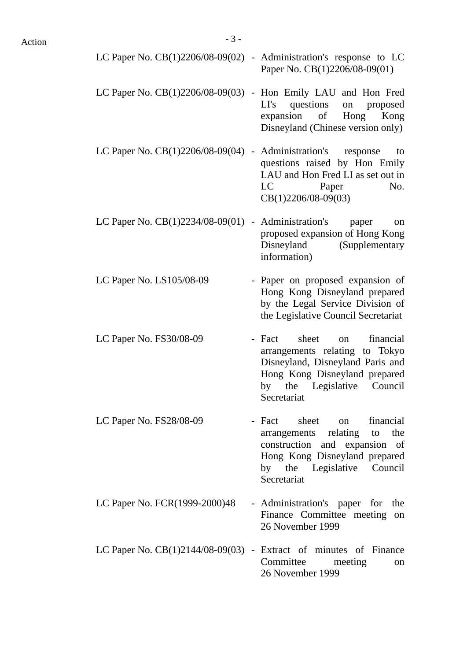| LC Paper No. $CB(1)2206/08-09(02)$ - Administration's response to LC | Paper No. CB(1)2206/08-09(01)                                                                                                                                                                                                                                                                                                                                 |
|----------------------------------------------------------------------|---------------------------------------------------------------------------------------------------------------------------------------------------------------------------------------------------------------------------------------------------------------------------------------------------------------------------------------------------------------|
| LC Paper No. $CB(1)2206/08-09(03)$ - Hon Emily LAU and Hon Fred      | questions<br>LI's<br>on<br>proposed<br>expansion of Hong<br>Kong<br>Disneyland (Chinese version only)                                                                                                                                                                                                                                                         |
| LC Paper No. $CB(1)2206/08-09(04)$ - Administration's                | response<br>to<br>questions raised by Hon Emily<br>LAU and Hon Fred LI as set out in<br>No.<br>LC and the set of the set of the set of the set of the set of the set of the set of the set of the set of the set of the set of the set of the set of the set of the set of the set of the set of the set of the set of the se<br>Paper<br>CB(1)2206/08-09(03) |
| LC Paper No. CB(1)2234/08-09(01) -                                   | Administration's paper<br>on<br>proposed expansion of Hong Kong<br>Disneyland (Supplementary<br>information)                                                                                                                                                                                                                                                  |
| LC Paper No. LS105/08-09                                             | - Paper on proposed expansion of<br>Hong Kong Disneyland prepared<br>by the Legal Service Division of<br>the Legislative Council Secretariat                                                                                                                                                                                                                  |
| LC Paper No. FS30/08-09                                              | financial<br>- Fact<br>sheet<br>on<br>arrangements relating to Tokyo<br>Disneyland, Disneyland Paris and<br>Hong Kong Disneyland prepared<br>the Legislative Council<br>by<br>Secretariat                                                                                                                                                                     |
| LC Paper No. FS28/08-09                                              | - Fact sheet on<br>financial<br>arrangements relating to<br>the<br>construction and expansion of<br>Hong Kong Disneyland prepared<br>by the Legislative Council<br>Secretariat                                                                                                                                                                                |
| LC Paper No. FCR(1999-2000)48                                        | - Administration's paper for the<br>Finance Committee meeting<br>on<br>26 November 1999                                                                                                                                                                                                                                                                       |
| LC Paper No. $CB(1)2144/08-09(03)$ - Extract of minutes of Finance   | Committee<br>meeting<br><sub>on</sub><br>26 November 1999                                                                                                                                                                                                                                                                                                     |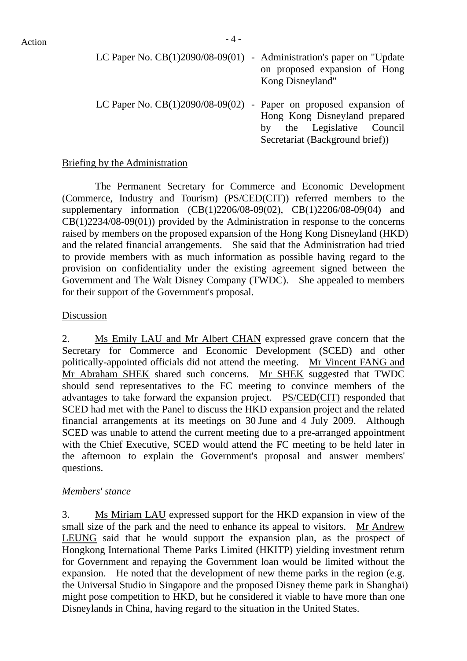| Action | $-4-$                                                                   |                               |
|--------|-------------------------------------------------------------------------|-------------------------------|
|        | LC Paper No. $CB(1)2090/08-09(01)$ - Administration's paper on "Update" | on proposed expansion of Hong |
|        |                                                                         | Kong Disneyland"              |

LC Paper No. CB(1)2090/08-09(02) - Paper on proposed expansion of Hong Kong Disneyland prepared by the Legislative Council Secretariat (Background brief))

#### Briefing by the Administration

 The Permanent Secretary for Commerce and Economic Development (Commerce, Industry and Tourism) (PS/CED(CIT)) referred members to the supplementary information (CB(1)2206/08-09(02), CB(1)2206/08-09(04) and CB(1)2234/08-09(01)) provided by the Administration in response to the concerns raised by members on the proposed expansion of the Hong Kong Disneyland (HKD) and the related financial arrangements. She said that the Administration had tried to provide members with as much information as possible having regard to the provision on confidentiality under the existing agreement signed between the Government and The Walt Disney Company (TWDC). She appealed to members for their support of the Government's proposal.

#### Discussion

2. Ms Emily LAU and Mr Albert CHAN expressed grave concern that the Secretary for Commerce and Economic Development (SCED) and other politically-appointed officials did not attend the meeting. Mr Vincent FANG and Mr Abraham SHEK shared such concerns. Mr SHEK suggested that TWDC should send representatives to the FC meeting to convince members of the advantages to take forward the expansion project. PS/CED(CIT) responded that SCED had met with the Panel to discuss the HKD expansion project and the related financial arrangements at its meetings on 30 June and 4 July 2009. Although SCED was unable to attend the current meeting due to a pre-arranged appointment with the Chief Executive, SCED would attend the FC meeting to be held later in the afternoon to explain the Government's proposal and answer members' questions.

#### *Members' stance*

3. Ms Miriam LAU expressed support for the HKD expansion in view of the small size of the park and the need to enhance its appeal to visitors. Mr Andrew LEUNG said that he would support the expansion plan, as the prospect of Hongkong International Theme Parks Limited (HKITP) yielding investment return for Government and repaying the Government loan would be limited without the expansion. He noted that the development of new theme parks in the region (e.g. the Universal Studio in Singapore and the proposed Disney theme park in Shanghai) might pose competition to HKD, but he considered it viable to have more than one Disneylands in China, having regard to the situation in the United States.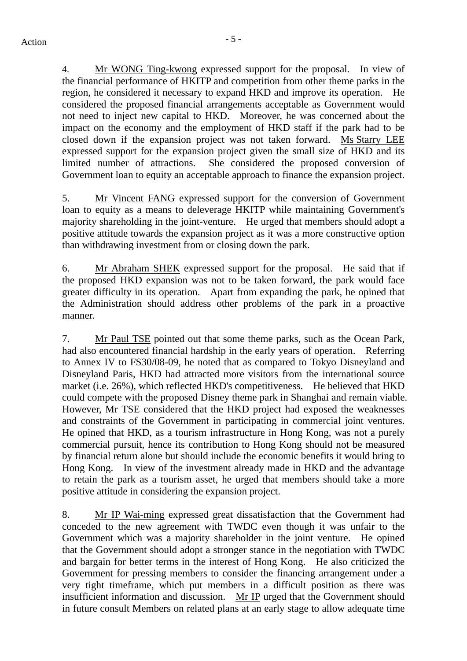4. Mr WONG Ting-kwong expressed support for the proposal. In view of the financial performance of HKITP and competition from other theme parks in the region, he considered it necessary to expand HKD and improve its operation. He considered the proposed financial arrangements acceptable as Government would not need to inject new capital to HKD. Moreover, he was concerned about the impact on the economy and the employment of HKD staff if the park had to be closed down if the expansion project was not taken forward. Ms Starry LEE expressed support for the expansion project given the small size of HKD and its limited number of attractions. She considered the proposed conversion of Government loan to equity an acceptable approach to finance the expansion project.

5. Mr Vincent FANG expressed support for the conversion of Government loan to equity as a means to deleverage HKITP while maintaining Government's majority shareholding in the joint-venture. He urged that members should adopt a positive attitude towards the expansion project as it was a more constructive option than withdrawing investment from or closing down the park.

6. Mr Abraham SHEK expressed support for the proposal. He said that if the proposed HKD expansion was not to be taken forward, the park would face greater difficulty in its operation. Apart from expanding the park, he opined that the Administration should address other problems of the park in a proactive manner.

7. Mr Paul TSE pointed out that some theme parks, such as the Ocean Park, had also encountered financial hardship in the early years of operation. Referring to Annex IV to FS30/08-09, he noted that as compared to Tokyo Disneyland and Disneyland Paris, HKD had attracted more visitors from the international source market (i.e. 26%), which reflected HKD's competitiveness. He believed that HKD could compete with the proposed Disney theme park in Shanghai and remain viable. However, Mr TSE considered that the HKD project had exposed the weaknesses and constraints of the Government in participating in commercial joint ventures. He opined that HKD, as a tourism infrastructure in Hong Kong, was not a purely commercial pursuit, hence its contribution to Hong Kong should not be measured by financial return alone but should include the economic benefits it would bring to Hong Kong. In view of the investment already made in HKD and the advantage to retain the park as a tourism asset, he urged that members should take a more positive attitude in considering the expansion project.

8. Mr IP Wai-ming expressed great dissatisfaction that the Government had conceded to the new agreement with TWDC even though it was unfair to the Government which was a majority shareholder in the joint venture. He opined that the Government should adopt a stronger stance in the negotiation with TWDC and bargain for better terms in the interest of Hong Kong. He also criticized the Government for pressing members to consider the financing arrangement under a very tight timeframe, which put members in a difficult position as there was insufficient information and discussion. Mr IP urged that the Government should in future consult Members on related plans at an early stage to allow adequate time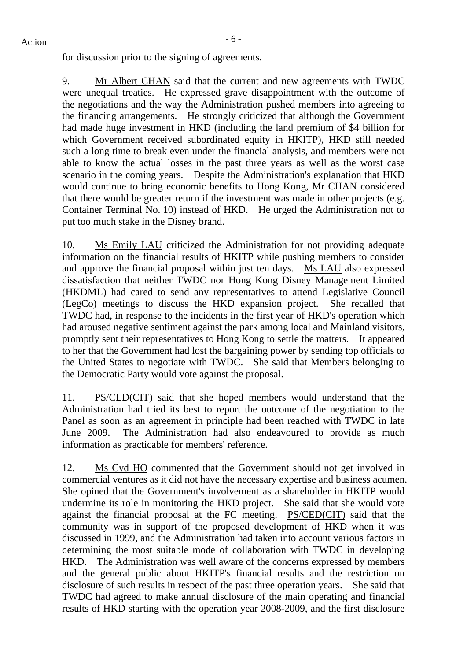# $Action$

for discussion prior to the signing of agreements.

9. Mr Albert CHAN said that the current and new agreements with TWDC were unequal treaties. He expressed grave disappointment with the outcome of the negotiations and the way the Administration pushed members into agreeing to the financing arrangements. He strongly criticized that although the Government had made huge investment in HKD (including the land premium of \$4 billion for which Government received subordinated equity in HKITP), HKD still needed such a long time to break even under the financial analysis, and members were not able to know the actual losses in the past three years as well as the worst case scenario in the coming years. Despite the Administration's explanation that HKD would continue to bring economic benefits to Hong Kong, Mr CHAN considered that there would be greater return if the investment was made in other projects (e.g. Container Terminal No. 10) instead of HKD. He urged the Administration not to put too much stake in the Disney brand.

10. Ms Emily LAU criticized the Administration for not providing adequate information on the financial results of HKITP while pushing members to consider and approve the financial proposal within just ten days. Ms LAU also expressed dissatisfaction that neither TWDC nor Hong Kong Disney Management Limited (HKDML) had cared to send any representatives to attend Legislative Council (LegCo) meetings to discuss the HKD expansion project. She recalled that TWDC had, in response to the incidents in the first year of HKD's operation which had aroused negative sentiment against the park among local and Mainland visitors, promptly sent their representatives to Hong Kong to settle the matters. It appeared to her that the Government had lost the bargaining power by sending top officials to the United States to negotiate with TWDC. She said that Members belonging to the Democratic Party would vote against the proposal.

11. PS/CED(CIT) said that she hoped members would understand that the Administration had tried its best to report the outcome of the negotiation to the Panel as soon as an agreement in principle had been reached with TWDC in late June 2009. The Administration had also endeavoured to provide as much information as practicable for members' reference.

12. Ms Cyd HO commented that the Government should not get involved in commercial ventures as it did not have the necessary expertise and business acumen. She opined that the Government's involvement as a shareholder in HKITP would undermine its role in monitoring the HKD project. She said that she would vote against the financial proposal at the FC meeting. PS/CED(CIT) said that the community was in support of the proposed development of HKD when it was discussed in 1999, and the Administration had taken into account various factors in determining the most suitable mode of collaboration with TWDC in developing HKD. The Administration was well aware of the concerns expressed by members and the general public about HKITP's financial results and the restriction on disclosure of such results in respect of the past three operation years. She said that TWDC had agreed to make annual disclosure of the main operating and financial results of HKD starting with the operation year 2008-2009, and the first disclosure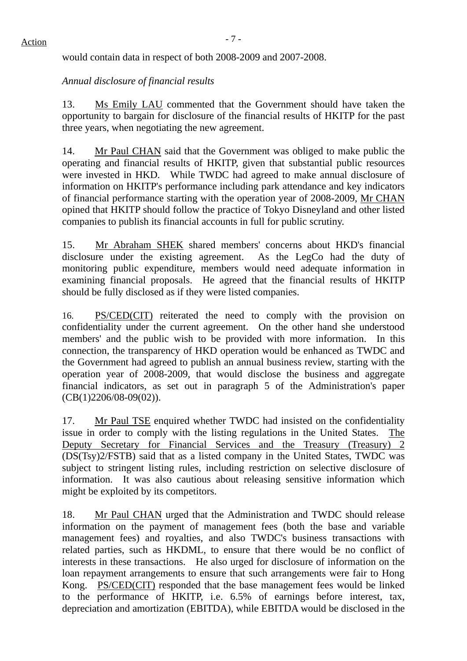would contain data in respect of both 2008-2009 and 2007-2008.

## *Annual disclosure of financial results*

13. Ms Emily LAU commented that the Government should have taken the opportunity to bargain for disclosure of the financial results of HKITP for the past three years, when negotiating the new agreement.

14. Mr Paul CHAN said that the Government was obliged to make public the operating and financial results of HKITP, given that substantial public resources were invested in HKD. While TWDC had agreed to make annual disclosure of information on HKITP's performance including park attendance and key indicators of financial performance starting with the operation year of 2008-2009, Mr CHAN opined that HKITP should follow the practice of Tokyo Disneyland and other listed companies to publish its financial accounts in full for public scrutiny.

15. Mr Abraham SHEK shared members' concerns about HKD's financial disclosure under the existing agreement. As the LegCo had the duty of monitoring public expenditure, members would need adequate information in examining financial proposals. He agreed that the financial results of HKITP should be fully disclosed as if they were listed companies.

16. PS/CED(CIT) reiterated the need to comply with the provision on confidentiality under the current agreement. On the other hand she understood members' and the public wish to be provided with more information. In this connection, the transparency of HKD operation would be enhanced as TWDC and the Government had agreed to publish an annual business review, starting with the operation year of 2008-2009, that would disclose the business and aggregate financial indicators, as set out in paragraph 5 of the Administration's paper (CB(1)2206/08-09(02)).

17. Mr Paul TSE enquired whether TWDC had insisted on the confidentiality issue in order to comply with the listing regulations in the United States. The Deputy Secretary for Financial Services and the Treasury (Treasury) 2 (DS(Tsy)2/FSTB) said that as a listed company in the United States, TWDC was subject to stringent listing rules, including restriction on selective disclosure of information. It was also cautious about releasing sensitive information which might be exploited by its competitors.

18. Mr Paul CHAN urged that the Administration and TWDC should release information on the payment of management fees (both the base and variable management fees) and royalties, and also TWDC's business transactions with related parties, such as HKDML, to ensure that there would be no conflict of interests in these transactions. He also urged for disclosure of information on the loan repayment arrangements to ensure that such arrangements were fair to Hong Kong. PS/CED(CIT) responded that the base management fees would be linked to the performance of HKITP, i.e. 6.5% of earnings before interest, tax, depreciation and amortization (EBITDA), while EBITDA would be disclosed in the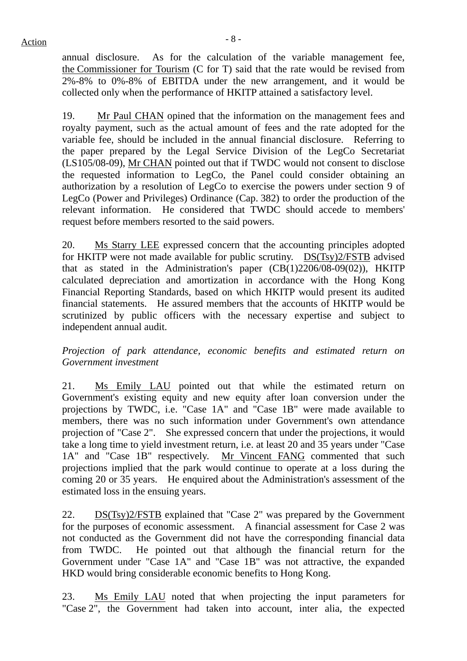annual disclosure. As for the calculation of the variable management fee, the Commissioner for Tourism (C for T) said that the rate would be revised from 2%-8% to 0%-8% of EBITDA under the new arrangement, and it would be collected only when the performance of HKITP attained a satisfactory level.

19. Mr Paul CHAN opined that the information on the management fees and royalty payment, such as the actual amount of fees and the rate adopted for the variable fee, should be included in the annual financial disclosure. Referring to the paper prepared by the Legal Service Division of the LegCo Secretariat (LS105/08-09), Mr CHAN pointed out that if TWDC would not consent to disclose the requested information to LegCo, the Panel could consider obtaining an authorization by a resolution of LegCo to exercise the powers under section 9 of LegCo (Power and Privileges) Ordinance (Cap. 382) to order the production of the relevant information. He considered that TWDC should accede to members' request before members resorted to the said powers.

20. Ms Starry LEE expressed concern that the accounting principles adopted for HKITP were not made available for public scrutiny. DS(Tsy)2/FSTB advised that as stated in the Administration's paper (CB(1)2206/08-09(02)), HKITP calculated depreciation and amortization in accordance with the Hong Kong Financial Reporting Standards, based on which HKITP would present its audited financial statements. He assured members that the accounts of HKITP would be scrutinized by public officers with the necessary expertise and subject to independent annual audit.

*Projection of park attendance, economic benefits and estimated return on Government investment* 

21. Ms Emily LAU pointed out that while the estimated return on Government's existing equity and new equity after loan conversion under the projections by TWDC, i.e. "Case 1A" and "Case 1B" were made available to members, there was no such information under Government's own attendance projection of "Case 2". She expressed concern that under the projections, it would take a long time to yield investment return, i.e. at least 20 and 35 years under "Case 1A" and "Case 1B" respectively. Mr Vincent FANG commented that such projections implied that the park would continue to operate at a loss during the coming 20 or 35 years. He enquired about the Administration's assessment of the estimated loss in the ensuing years.

22. DS(Tsy)2/FSTB explained that "Case 2" was prepared by the Government for the purposes of economic assessment. A financial assessment for Case 2 was not conducted as the Government did not have the corresponding financial data from TWDC. He pointed out that although the financial return for the Government under "Case 1A" and "Case 1B" was not attractive, the expanded HKD would bring considerable economic benefits to Hong Kong.

23. Ms Emily LAU noted that when projecting the input parameters for "Case 2", the Government had taken into account, inter alia, the expected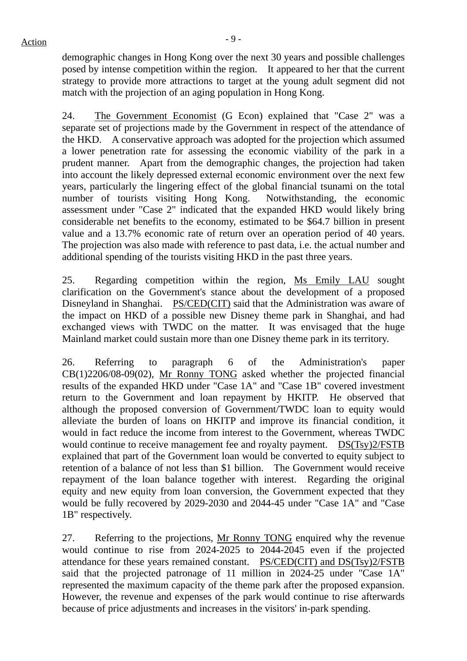$Action$ 

demographic changes in Hong Kong over the next 30 years and possible challenges posed by intense competition within the region. It appeared to her that the current strategy to provide more attractions to target at the young adult segment did not match with the projection of an aging population in Hong Kong.

24. The Government Economist (G Econ) explained that "Case 2" was a separate set of projections made by the Government in respect of the attendance of the HKD. A conservative approach was adopted for the projection which assumed a lower penetration rate for assessing the economic viability of the park in a prudent manner. Apart from the demographic changes, the projection had taken into account the likely depressed external economic environment over the next few years, particularly the lingering effect of the global financial tsunami on the total number of tourists visiting Hong Kong. Notwithstanding, the economic assessment under "Case 2" indicated that the expanded HKD would likely bring considerable net benefits to the economy, estimated to be \$64.7 billion in present value and a 13.7% economic rate of return over an operation period of 40 years. The projection was also made with reference to past data, i.e. the actual number and additional spending of the tourists visiting HKD in the past three years.

25. Regarding competition within the region, Ms Emily LAU sought clarification on the Government's stance about the development of a proposed Disneyland in Shanghai. PS/CED(CIT) said that the Administration was aware of the impact on HKD of a possible new Disney theme park in Shanghai, and had exchanged views with TWDC on the matter. It was envisaged that the huge Mainland market could sustain more than one Disney theme park in its territory.

26. Referring to paragraph 6 of the Administration's paper CB(1)2206/08-09(02), Mr Ronny TONG asked whether the projected financial results of the expanded HKD under "Case 1A" and "Case 1B" covered investment return to the Government and loan repayment by HKITP. He observed that although the proposed conversion of Government/TWDC loan to equity would alleviate the burden of loans on HKITP and improve its financial condition, it would in fact reduce the income from interest to the Government, whereas TWDC would continue to receive management fee and royalty payment. DS(Tsy)2/FSTB explained that part of the Government loan would be converted to equity subject to retention of a balance of not less than \$1 billion. The Government would receive repayment of the loan balance together with interest. Regarding the original equity and new equity from loan conversion, the Government expected that they would be fully recovered by 2029-2030 and 2044-45 under "Case 1A" and "Case 1B" respectively.

27. Referring to the projections, Mr Ronny TONG enquired why the revenue would continue to rise from 2024-2025 to 2044-2045 even if the projected attendance for these years remained constant. PS/CED(CIT) and DS(Tsy)2/FSTB said that the projected patronage of 11 million in 2024-25 under "Case 1A" represented the maximum capacity of the theme park after the proposed expansion. However, the revenue and expenses of the park would continue to rise afterwards because of price adjustments and increases in the visitors' in-park spending.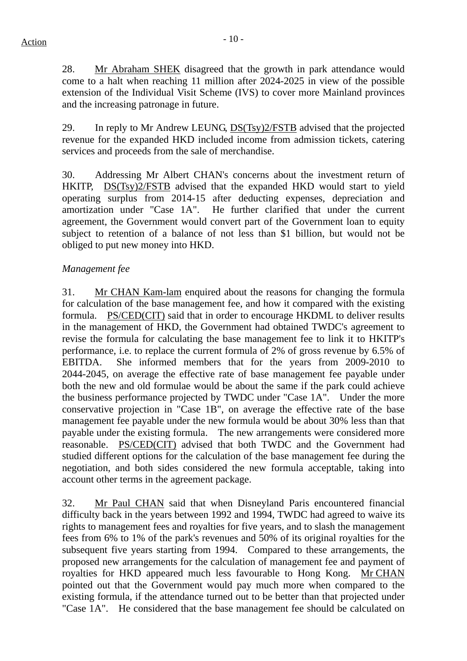28. Mr Abraham SHEK disagreed that the growth in park attendance would come to a halt when reaching 11 million after 2024-2025 in view of the possible extension of the Individual Visit Scheme (IVS) to cover more Mainland provinces and the increasing patronage in future.

29. In reply to Mr Andrew LEUNG, DS(Tsy)2/FSTB advised that the projected revenue for the expanded HKD included income from admission tickets, catering services and proceeds from the sale of merchandise.

30. Addressing Mr Albert CHAN's concerns about the investment return of HKITP, DS(Tsy)2/FSTB advised that the expanded HKD would start to yield operating surplus from 2014-15 after deducting expenses, depreciation and amortization under "Case 1A". He further clarified that under the current agreement, the Government would convert part of the Government loan to equity subject to retention of a balance of not less than \$1 billion, but would not be obliged to put new money into HKD.

## *Management fee*

31. Mr CHAN Kam-lam enquired about the reasons for changing the formula for calculation of the base management fee, and how it compared with the existing formula. PS/CED(CIT) said that in order to encourage HKDML to deliver results in the management of HKD, the Government had obtained TWDC's agreement to revise the formula for calculating the base management fee to link it to HKITP's performance, i.e. to replace the current formula of 2% of gross revenue by 6.5% of EBITDA. She informed members that for the years from 2009-2010 to 2044-2045, on average the effective rate of base management fee payable under both the new and old formulae would be about the same if the park could achieve the business performance projected by TWDC under "Case 1A". Under the more conservative projection in "Case 1B", on average the effective rate of the base management fee payable under the new formula would be about 30% less than that payable under the existing formula. The new arrangements were considered more reasonable. PS/CED(CIT) advised that both TWDC and the Government had studied different options for the calculation of the base management fee during the negotiation, and both sides considered the new formula acceptable, taking into account other terms in the agreement package.

32. Mr Paul CHAN said that when Disneyland Paris encountered financial difficulty back in the years between 1992 and 1994, TWDC had agreed to waive its rights to management fees and royalties for five years, and to slash the management fees from 6% to 1% of the park's revenues and 50% of its original royalties for the subsequent five years starting from 1994. Compared to these arrangements, the proposed new arrangements for the calculation of management fee and payment of royalties for HKD appeared much less favourable to Hong Kong. Mr CHAN pointed out that the Government would pay much more when compared to the existing formula, if the attendance turned out to be better than that projected under "Case 1A". He considered that the base management fee should be calculated on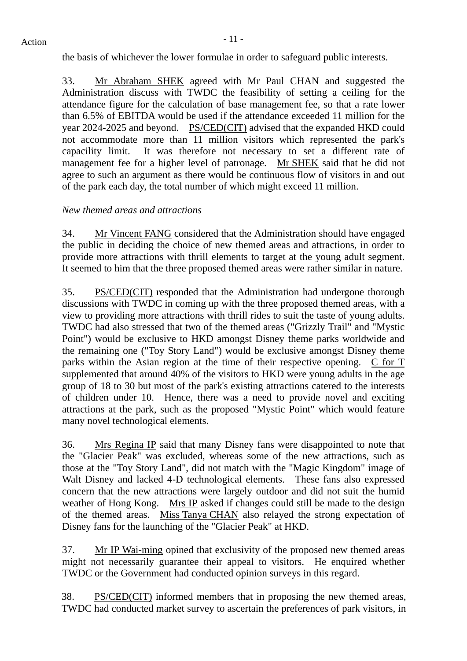the basis of whichever the lower formulae in order to safeguard public interests.

33. Mr Abraham SHEK agreed with Mr Paul CHAN and suggested the Administration discuss with TWDC the feasibility of setting a ceiling for the attendance figure for the calculation of base management fee, so that a rate lower than 6.5% of EBITDA would be used if the attendance exceeded 11 million for the year 2024-2025 and beyond. PS/CED(CIT) advised that the expanded HKD could not accommodate more than 11 million visitors which represented the park's capacility limit. It was therefore not necessary to set a different rate of management fee for a higher level of patronage. Mr SHEK said that he did not agree to such an argument as there would be continuous flow of visitors in and out of the park each day, the total number of which might exceed 11 million.

#### *New themed areas and attractions*

34. Mr Vincent FANG considered that the Administration should have engaged the public in deciding the choice of new themed areas and attractions, in order to provide more attractions with thrill elements to target at the young adult segment. It seemed to him that the three proposed themed areas were rather similar in nature.

35. PS/CED(CIT) responded that the Administration had undergone thorough discussions with TWDC in coming up with the three proposed themed areas, with a view to providing more attractions with thrill rides to suit the taste of young adults. TWDC had also stressed that two of the themed areas ("Grizzly Trail" and "Mystic Point") would be exclusive to HKD amongst Disney theme parks worldwide and the remaining one ("Toy Story Land") would be exclusive amongst Disney theme parks within the Asian region at the time of their respective opening. C for T supplemented that around 40% of the visitors to HKD were young adults in the age group of 18 to 30 but most of the park's existing attractions catered to the interests of children under 10. Hence, there was a need to provide novel and exciting attractions at the park, such as the proposed "Mystic Point" which would feature many novel technological elements.

36. Mrs Regina IP said that many Disney fans were disappointed to note that the "Glacier Peak" was excluded, whereas some of the new attractions, such as those at the "Toy Story Land", did not match with the "Magic Kingdom" image of Walt Disney and lacked 4-D technological elements. These fans also expressed concern that the new attractions were largely outdoor and did not suit the humid weather of Hong Kong. Mrs IP asked if changes could still be made to the design of the themed areas. Miss Tanya CHAN also relayed the strong expectation of Disney fans for the launching of the "Glacier Peak" at HKD.

37. Mr IP Wai-ming opined that exclusivity of the proposed new themed areas might not necessarily guarantee their appeal to visitors. He enquired whether TWDC or the Government had conducted opinion surveys in this regard.

38. PS/CED(CIT) informed members that in proposing the new themed areas, TWDC had conducted market survey to ascertain the preferences of park visitors, in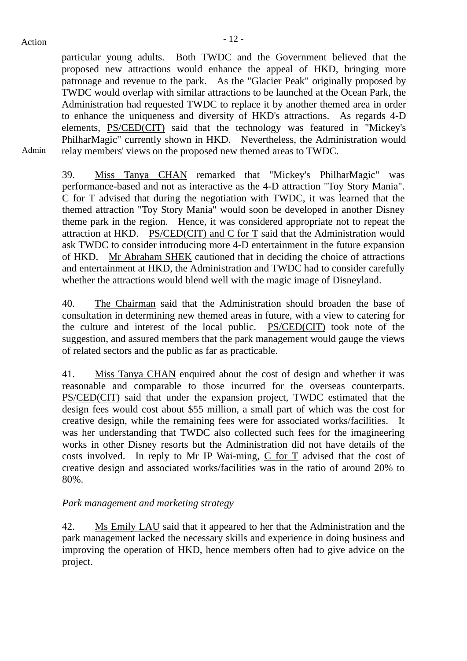particular young adults. Both TWDC and the Government believed that the proposed new attractions would enhance the appeal of HKD, bringing more patronage and revenue to the park. As the "Glacier Peak" originally proposed by TWDC would overlap with similar attractions to be launched at the Ocean Park, the Administration had requested TWDC to replace it by another themed area in order to enhance the uniqueness and diversity of HKD's attractions. As regards 4-D elements, PS/CED(CIT) said that the technology was featured in "Mickey's PhilharMagic" currently shown in HKD. Nevertheless, the Administration would relay members' views on the proposed new themed areas to TWDC.

Admin

39. Miss Tanya CHAN remarked that "Mickey's PhilharMagic" was performance-based and not as interactive as the 4-D attraction "Toy Story Mania". C for T advised that during the negotiation with TWDC, it was learned that the themed attraction "Toy Story Mania" would soon be developed in another Disney theme park in the region. Hence, it was considered appropriate not to repeat the attraction at HKD. PS/CED(CIT) and C for T said that the Administration would ask TWDC to consider introducing more 4-D entertainment in the future expansion of HKD. Mr Abraham SHEK cautioned that in deciding the choice of attractions and entertainment at HKD, the Administration and TWDC had to consider carefully whether the attractions would blend well with the magic image of Disneyland.

40. The Chairman said that the Administration should broaden the base of consultation in determining new themed areas in future, with a view to catering for the culture and interest of the local public. PS/CED(CIT) took note of the suggestion, and assured members that the park management would gauge the views of related sectors and the public as far as practicable.

41. Miss Tanya CHAN enquired about the cost of design and whether it was reasonable and comparable to those incurred for the overseas counterparts. PS/CED(CIT) said that under the expansion project, TWDC estimated that the design fees would cost about \$55 million, a small part of which was the cost for creative design, while the remaining fees were for associated works/facilities. It was her understanding that TWDC also collected such fees for the imagineering works in other Disney resorts but the Administration did not have details of the costs involved. In reply to Mr IP Wai-ming, C for T advised that the cost of creative design and associated works/facilities was in the ratio of around 20% to 80%.

## *Park management and marketing strategy*

42. Ms Emily LAU said that it appeared to her that the Administration and the park management lacked the necessary skills and experience in doing business and improving the operation of HKD, hence members often had to give advice on the project.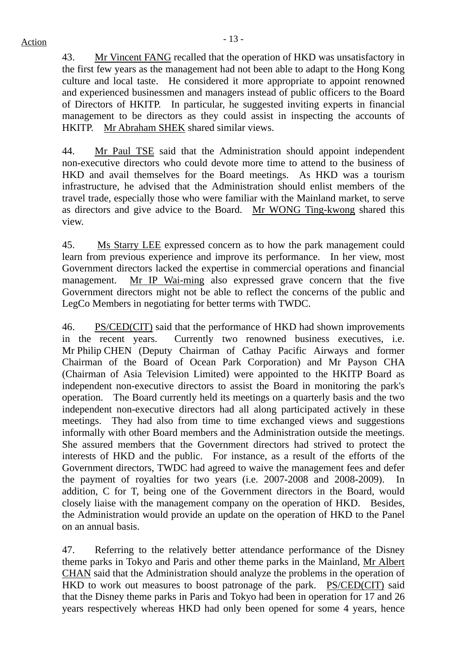43. Mr Vincent FANG recalled that the operation of HKD was unsatisfactory in the first few years as the management had not been able to adapt to the Hong Kong culture and local taste. He considered it more appropriate to appoint renowned and experienced businessmen and managers instead of public officers to the Board of Directors of HKITP. In particular, he suggested inviting experts in financial management to be directors as they could assist in inspecting the accounts of HKITP. Mr Abraham SHEK shared similar views.

44. Mr Paul TSE said that the Administration should appoint independent non-executive directors who could devote more time to attend to the business of HKD and avail themselves for the Board meetings. As HKD was a tourism infrastructure, he advised that the Administration should enlist members of the travel trade, especially those who were familiar with the Mainland market, to serve as directors and give advice to the Board. Mr WONG Ting-kwong shared this view.

45. Ms Starry LEE expressed concern as to how the park management could learn from previous experience and improve its performance. In her view, most Government directors lacked the expertise in commercial operations and financial management. Mr IP Wai-ming also expressed grave concern that the five Government directors might not be able to reflect the concerns of the public and LegCo Members in negotiating for better terms with TWDC.

46. PS/CED(CIT) said that the performance of HKD had shown improvements in the recent years. Currently two renowned business executives, i.e. Mr Philip CHEN (Deputy Chairman of Cathay Pacific Airways and former Chairman of the Board of Ocean Park Corporation) and Mr Payson CHA (Chairman of Asia Television Limited) were appointed to the HKITP Board as independent non-executive directors to assist the Board in monitoring the park's operation. The Board currently held its meetings on a quarterly basis and the two independent non-executive directors had all along participated actively in these meetings. They had also from time to time exchanged views and suggestions informally with other Board members and the Administration outside the meetings. She assured members that the Government directors had strived to protect the interests of HKD and the public. For instance, as a result of the efforts of the Government directors, TWDC had agreed to waive the management fees and defer the payment of royalties for two years (i.e. 2007-2008 and 2008-2009). In addition, C for T, being one of the Government directors in the Board, would closely liaise with the management company on the operation of HKD. Besides, the Administration would provide an update on the operation of HKD to the Panel on an annual basis.

47. Referring to the relatively better attendance performance of the Disney theme parks in Tokyo and Paris and other theme parks in the Mainland, Mr Albert CHAN said that the Administration should analyze the problems in the operation of HKD to work out measures to boost patronage of the park. PS/CED(CIT) said that the Disney theme parks in Paris and Tokyo had been in operation for 17 and 26 years respectively whereas HKD had only been opened for some 4 years, hence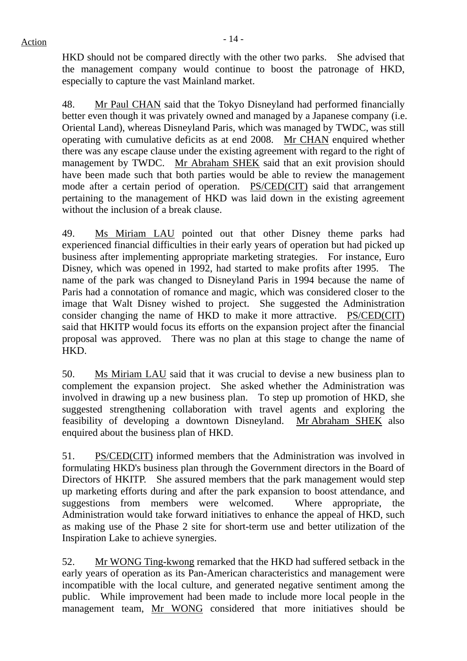HKD should not be compared directly with the other two parks. She advised that the management company would continue to boost the patronage of HKD, especially to capture the vast Mainland market.

48. Mr Paul CHAN said that the Tokyo Disneyland had performed financially better even though it was privately owned and managed by a Japanese company (i.e. Oriental Land), whereas Disneyland Paris, which was managed by TWDC, was still operating with cumulative deficits as at end 2008. Mr CHAN enquired whether there was any escape clause under the existing agreement with regard to the right of management by TWDC. Mr Abraham SHEK said that an exit provision should have been made such that both parties would be able to review the management mode after a certain period of operation. PS/CED(CIT) said that arrangement pertaining to the management of HKD was laid down in the existing agreement without the inclusion of a break clause.

49. Ms Miriam LAU pointed out that other Disney theme parks had experienced financial difficulties in their early years of operation but had picked up business after implementing appropriate marketing strategies. For instance, Euro Disney, which was opened in 1992, had started to make profits after 1995. The name of the park was changed to Disneyland Paris in 1994 because the name of Paris had a connotation of romance and magic, which was considered closer to the image that Walt Disney wished to project. She suggested the Administration consider changing the name of HKD to make it more attractive. PS/CED(CIT) said that HKITP would focus its efforts on the expansion project after the financial proposal was approved. There was no plan at this stage to change the name of HKD.

50. Ms Miriam LAU said that it was crucial to devise a new business plan to complement the expansion project. She asked whether the Administration was involved in drawing up a new business plan. To step up promotion of HKD, she suggested strengthening collaboration with travel agents and exploring the feasibility of developing a downtown Disneyland. Mr Abraham SHEK also enquired about the business plan of HKD.

51. PS/CED(CIT) informed members that the Administration was involved in formulating HKD's business plan through the Government directors in the Board of Directors of HKITP. She assured members that the park management would step up marketing efforts during and after the park expansion to boost attendance, and suggestions from members were welcomed. Where appropriate, the Administration would take forward initiatives to enhance the appeal of HKD, such as making use of the Phase 2 site for short-term use and better utilization of the Inspiration Lake to achieve synergies.

52. Mr WONG Ting-kwong remarked that the HKD had suffered setback in the early years of operation as its Pan-American characteristics and management were incompatible with the local culture, and generated negative sentiment among the public. While improvement had been made to include more local people in the management team, Mr WONG considered that more initiatives should be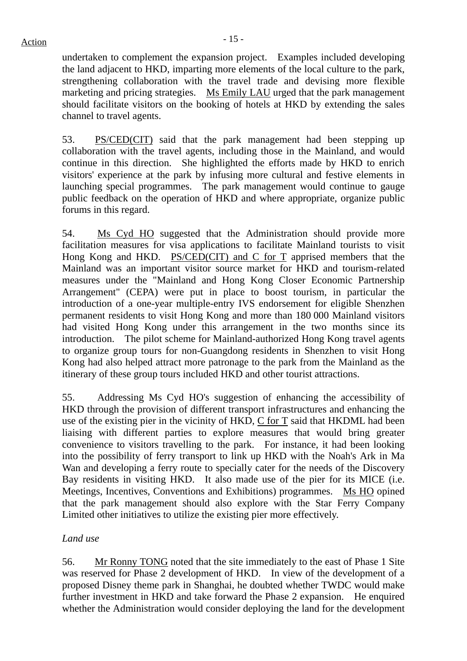undertaken to complement the expansion project. Examples included developing the land adjacent to HKD, imparting more elements of the local culture to the park, strengthening collaboration with the travel trade and devising more flexible marketing and pricing strategies. Ms Emily LAU urged that the park management should facilitate visitors on the booking of hotels at HKD by extending the sales channel to travel agents.

53. PS/CED(CIT) said that the park management had been stepping up collaboration with the travel agents, including those in the Mainland, and would continue in this direction. She highlighted the efforts made by HKD to enrich visitors' experience at the park by infusing more cultural and festive elements in launching special programmes. The park management would continue to gauge public feedback on the operation of HKD and where appropriate, organize public forums in this regard.

54. Ms Cyd HO suggested that the Administration should provide more facilitation measures for visa applications to facilitate Mainland tourists to visit Hong Kong and HKD. PS/CED(CIT) and C for T apprised members that the Mainland was an important visitor source market for HKD and tourism-related measures under the "Mainland and Hong Kong Closer Economic Partnership Arrangement" (CEPA) were put in place to boost tourism, in particular the introduction of a one-year multiple-entry IVS endorsement for eligible Shenzhen permanent residents to visit Hong Kong and more than 180 000 Mainland visitors had visited Hong Kong under this arrangement in the two months since its introduction. The pilot scheme for Mainland-authorized Hong Kong travel agents to organize group tours for non-Guangdong residents in Shenzhen to visit Hong Kong had also helped attract more patronage to the park from the Mainland as the itinerary of these group tours included HKD and other tourist attractions.

55. Addressing Ms Cyd HO's suggestion of enhancing the accessibility of HKD through the provision of different transport infrastructures and enhancing the use of the existing pier in the vicinity of HKD, C for T said that HKDML had been liaising with different parties to explore measures that would bring greater convenience to visitors travelling to the park. For instance, it had been looking into the possibility of ferry transport to link up HKD with the Noah's Ark in Ma Wan and developing a ferry route to specially cater for the needs of the Discovery Bay residents in visiting HKD. It also made use of the pier for its MICE (i.e. Meetings, Incentives, Conventions and Exhibitions) programmes. Ms HO opined that the park management should also explore with the Star Ferry Company Limited other initiatives to utilize the existing pier more effectively.

## *Land use*

56. Mr Ronny TONG noted that the site immediately to the east of Phase 1 Site was reserved for Phase 2 development of HKD. In view of the development of a proposed Disney theme park in Shanghai, he doubted whether TWDC would make further investment in HKD and take forward the Phase 2 expansion. He enquired whether the Administration would consider deploying the land for the development